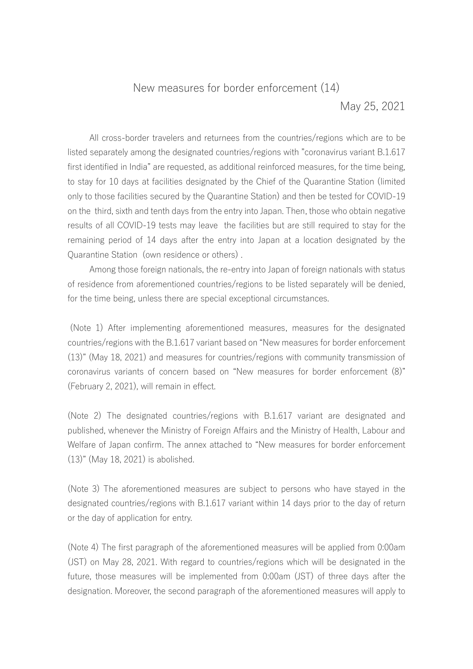## New measures for border enforcement (14) May 25, 2021

All cross-border travelers and returnees from the countries/regions which are to be listed separately among the designated countries/regions with "coronavirus variant B.1.617 first identified in India" are requested, as additional reinforced measures, for the time being, to stay for 10 days at facilities designated by the Chief of the Quarantine Station (limited only to those facilities secured by the Quarantine Station) and then be tested for COVID-19 on the third, sixth and tenth days from the entry into Japan. Then, those who obtain negative results of all COVID-19 tests may leave the facilities but are still required to stay for the remaining period of 14 days after the entry into Japan at a location designated by the Quarantine Station (own residence or others) .

Among those foreign nationals, the re-entry into Japan of foreign nationals with status of residence from aforementioned countries/regions to be listed separately will be denied, for the time being, unless there are special exceptional circumstances.

(Note 1) After implementing aforementioned measures, measures for the designated countries/regions with the B.1.617 variant based on "New measures for border enforcement (13)" (May 18, 2021) and measures for countries/regions with community transmission of coronavirus variants of concern based on "New measures for border enforcement (8)" (February 2, 2021), will remain in effect.

(Note 2) The designated countries/regions with B.1.617 variant are designated and published, whenever the Ministry of Foreign Affairs and the Ministry of Health, Labour and Welfare of Japan confirm. The annex attached to "New measures for border enforcement (13)" (May 18, 2021) is abolished.

(Note 3) The aforementioned measures are subject to persons who have stayed in the designated countries/regions with B.1.617 variant within 14 days prior to the day of return or the day of application for entry.

(Note 4) The first paragraph of the aforementioned measures will be applied from 0:00am (JST) on May 28, 2021. With regard to countries/regions which will be designated in the future, those measures will be implemented from 0:00am (JST) of three days after the designation. Moreover, the second paragraph of the aforementioned measures will apply to